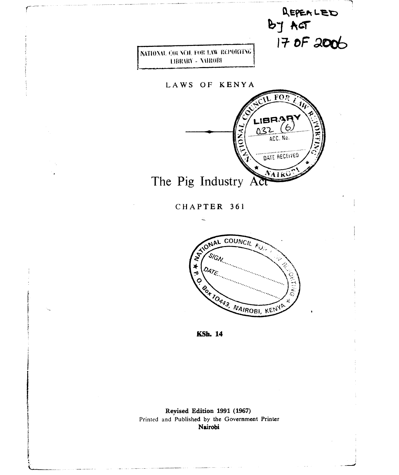

NATIONAL, COUNCIL FOR LAW REPORTING LIBRARY - NAIROBI

LAWS OF KENYA



CHAPTER 361



**KSh. 14** 

**Revised Edition 1991 (1967)**  Printed and Published by the Government Printer **Nairobi**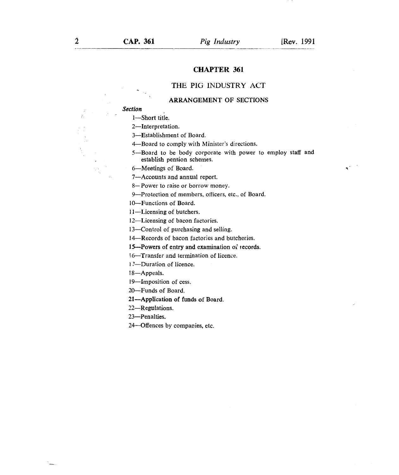## CHAPTER 361

# THE PIG INDUSTRY ACT

#### **ARRANGEMENT OF SECTIONS**

## *Section*

*1—Short* title.

2—Interpretation.

3—Establishment of Board.

4—Board to comply with Minister's directions.

5—Board to be body corporate with power to employ staff and establish pension schemes.

6—Meetings of Board.

7—Accounts and annual report.

8— Power to raise or borrow money.

9—Protection of members, officers, etc., of Board.

10—Functions of Board.

11—Licensing of butchers.

12—Licensing of bacon factories.

13—Control of purchasing and selling.

14—Records of bacon factories and butcheries.

**15—Powers of entry and examination of records.** 

**16—Transfer** and termination of licence.

17—Duration of licence.

18—Appeals.

19—Imposition of cess.

20—Funds of Board.

**21—Application of funds of Board.** 

22—Regulations.

23—Penalties.

24 Offences by companies, etc.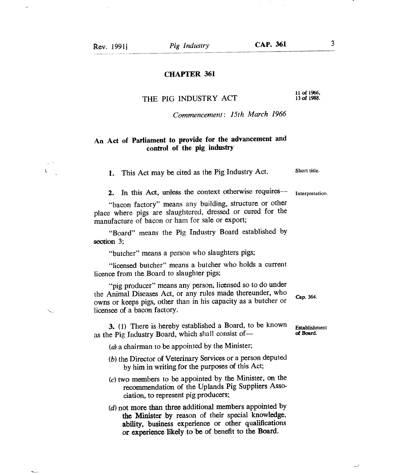$\zeta$ 

## **CHAPTER 361**

## **THE PIG INDUSTRY ACT**

11 of 1966, **13 of** 1988.

*Commencement: 15th March 1966* 

# **An Act of Parliament to provide for the advancement and control of the pig industry**

1. This Act may be cited as the Pig Industry Act. Short title.

**2. In this Act,** unless the context otherwise requires—

"bacon factory" means any building, structure or other place where pigs are slaughtered, dressed or cured for the manufacture of bacon or ham for sale or export;

"Board" means the Pig Industry Board established by **section 3;** 

"butcher" means a person who slaughters pigs;

"licensed butcher" means a butcher who holds a current licence from the Board to slaughter pigs;

"pig producer" means any person, licensed so to do under the Animal Diseases Act, or any rules made thereunder, who owns or keeps pigs, other than in his capacity as a butcher or licensee of a bacon factory.

**3. (1)** There is hereby established a Board, to be known as the Pig Industry Board, which shall consist of—

(a) a chairman to be appointed by the Minister;

- (b) the Director of Veterinary Services or a person deputed by him in writing for the purposes of this Act;
- $(c)$  two members to be appointed by the Minister, on the recommendation of the Uplands Pig Suppliers Association, to represent pig producers;
- **(d)not more than three additional members appointed by the Minister by** reason of their special **knowledge, ability, business experience or other qualifications or experience likely to be of benefit to the Board.**

Interpretation.

Cap. 364.

Establishment of Board.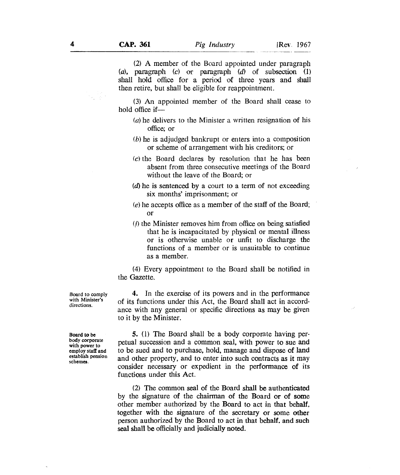(2) A member of the Board appointed under paragraph *(a),* paragraph *(c)* or paragraph *(d)* of subsection (1) shall hold office for a period of three years and shall then retire, but shall be eligible for reappointment.

(3) An appointed member of the Board shall cease to hold office if—

- $(a)$  he delivers to the Minister a written resignation of his office; or
- $(b)$  he is adjudged bankrupt or enters into a composition or scheme of arrangement with his creditors; or
- (c) the Board declares by resolution that he has been absent from three consecutive meetings of the Board without the leave of the Board; or
- (d)he is sentenced by a court to a term of not exceeding six months' imprisonment; or
- (e)he accepts office as a member of the staff of the Board; or
- (f) the Minister removes him from office on being satisfied that he is incapacitated by physical or mental illness or is otherwise unable or unfit to discharge the functions of a member or is unsuitable to continue as a member.

(4) Every appointment to the Board shall be notified in the Gazette.

4. In the exercise of its powers and in the performance of its functions under this Act, the Board shall act in accordance with any general or specific directions as may be given to it by the Minister.

5. (1) The Board shall be a body corporate having perpetual succession and a common seal, with power to sue and to be sued and to purchase, hold, manage and dispose of land and other property, and to enter into such contracts as it may consider necessary or expedient in the performance of its functions under this Act.

(2) The common seal of the Board shall be authenticated by the signature of the chairman of the Board or of some other member authorized by the Board to act in that behalf, together with the signature of the secretary or some other person authorized by the Board to act in that behalf. and such seal shall be officially and judicially noted.

Board to comply with Minister's directions.

Board to be body corporate with power to employ staff and establish pension schemes.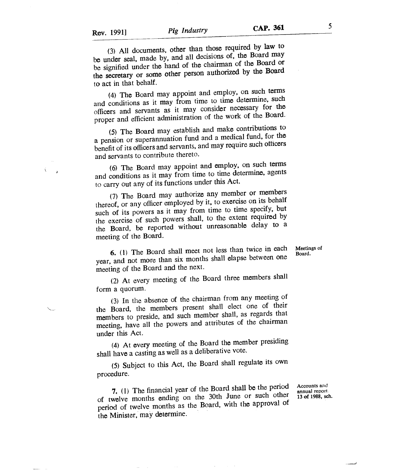Á

(3) All documents, other than those required by law to be under seal, made by, and all decisions of, the Board may be signified under the hand of the chairman of the Board or the secretary or some other person authorized by the Board to act in that behalf.

(4) The Board may appoint and employ, on such terms and conditions as it may from time to time determine, such officers and servants as it may consider necessary for the proper and efficient administration of the work of the Board.

(5) The Board may establish and make contributions to a pension or superannuation fund and a medical fund, for the benefit of its officers and servants, and may require such officers and servants to contribute thereto.

(6) The Board may appoint and employ, on such terms and conditions as it may from time to time determine, agents to carry out any of its functions under this Act.

(7) The Board may authorize any member or members thereof, or any officer employed by it, to exercise on its behalf such of its powers as it may from time to time specify, but the exercise of such powers shall, to the extent required by the Board, be reported without unreasonable delay to a meeting of the Board.

6. (1) The Board shall meet not less than twice in each Meetings of year, and not more than six months shall elapse between one meeting of the Board and the next.

(2) At every meeting of the Board three members shall form a quorum.

(3) In the absence of the chairman from any meeting of the Board, the members present shall elect one of their members to preside, and such member shall, as regards that meeting, have all the powers and attributes of the chairman under this Act.

(4) At every meeting of the Board the member presiding shall have a casting as well as a deliberative vote.

(5) Subject to this Act, the Board shall regulate its own procedure.

**7.** (1) The financial year of the Board shall be the period of twelve months ending on the 30th June or such other period of twelve months as the Board, with the approval of the Minister, may determine.

Accounts *and*  annual report 13 of 1988, sch.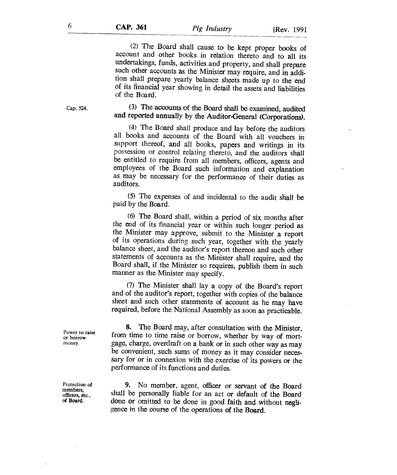(2) The Board shall cause to be kept proper books of account and other books in relation thereto and to all its undertakings, funds, activities and property, and shall prepare such other accounts as the Minister may require, and in addition shall prepare yearly balance sheets made up to the end of its financial year showing in detail the assets and liabilities of the Board.

# (3) The accounts of the Board shall be examined, audited and reported annually by the Auditor-General (Corporations).

(4) The Board shall produce and lay before the auditors all books and accounts of the Board with all vouchers in support thereof, and all books, papers and writings in its possession or control relating thereto, and the auditors shall be entitled to require from all members, officers, agents and employees of the Board such information and explanation as may be necessary for the performance of their duties as auditors.

(5) The expenses of and incidental to the audit shall be paid by the Board.

(6) The Board shall, within a period of six months after the end of its financial year or within such longer period as the Minister may approve, submit to the Minister a report of its operations during such year, together with the yearly balance sheet, and the auditor's report thereon and such other statements of accounts as the Minister shall require, and the Board shall, if the Minister so requires, publish them in such manner as the Minister may specify.

(7) The Minister shall lay a copy of the Board's report and of the auditor's report, together with copies of the balance sheet and such other statements of account as he may have required, before the National Assembly as soon as practicable.

8. The Board may, after consultation with the Minister, from time to time raise or borrow, whether by way of mortgage, charge, overdraft on a bank or in such other way as may be convenient, such sums of money as it may consider necessary for or in connexion with the exercise of its powers or the performance of its functions and duties.

9. No member, agent, officer or servant of the Board shall be personally liable for an act or default of the Board done or omitted to be done in good faith and without negligence in the course of the operations of the Board.

Power to raise or borrow money.

Protection of members, officers, etc., of Hoard.

Cap. 524.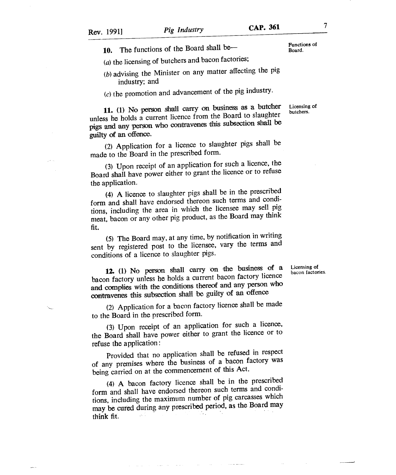10. The functions of the Board shall be—

 $(a)$  the licensing of butchers and bacon factories;

 $(b)$  advising the Minister on any matter affecting the pig industry; and

 $(c)$  the promotion and advancement of the pig industry.

11. (1) No person shall carry on business as a butcher Licensing of unless he holds a current licence from the Board to slaughter pigs and any person who contravenes this subsection shall be guilty of an offence.

(2) Application for a licence to slaughter pigs shall be made to the Board in the prescribed form.

(3) Upon receipt of an application for such a licence, the Board shall have power either to grant the licence or to refuse the application.

(4) A licence to slaughter pigs shall be in the prescribed form and shall have endorsed thereon such terms and conditions, including the area in which the licensee may sell pig meat, bacon or any other pig product, as the Board may think fit.

(5) The Board may, at any time, by notification in writing sent by registered post to the licensee, vary the terms and conditions of a licence to slaughter pigs.

**12. (1)** No person shall carry on the business of a bacon factory unless he holds a current bacon factory licence and complies with the conditions thereof and any person who contravenes this subsection shall 'be guilty of an offence

(2) Application for a bacon factory licence shall be made to the Board in the prescribed form.

(3) Upon receipt of an application for such a licence, the Board shall have power either to grant the licence or to refuse the application :

Provided that no application shall be refused in respect of any premises where the business of a bacon factory was being carried on at the commencement of this Act.

(4) A bacon factory licence shall be in the prescribed form and shall have endorsed thereon such terms and conditions, including the maximum number of pig carcasses which may be cured during any prescribed period, as the Board may think fit.

and and a

Functions of<br>Board.

Licensing of bacon factories.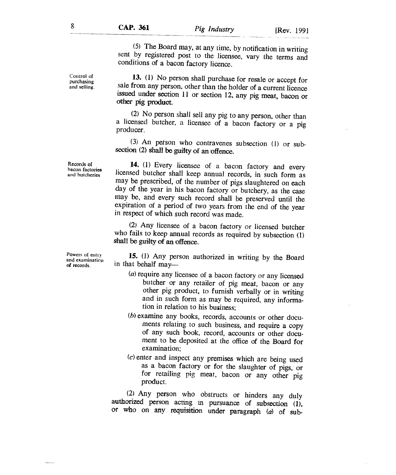*(5)* The Board may, at any time, by notification in writing sent by registered post to the licensee, vary the terms and conditions of a bacon factory licence.

**13.** (1) No person shall purchase for resale or accept for sale from any person, other than the holder of a current licence issued under section 11 or section 12, any pig meat, bacon or other pig product.

(2) No person shall sell any pig to any person, other than a licensed butcher, a licensee of a bacon factory or a pig producer.

(3) An person who contravenes subsection (1) or subsection (2) shall be guilty of an offence.

**14.** (1) Every licensee of a bacon factory and every licensed butcher shall keep annual records, in such form as may be prescribed, of the number of pigs slaughtered on each day of the year in his bacon factory or butchery, as the case may be, and every such record shall be preserved until the expiration of a period of two years from the end of the year in respect of which such record was made.

(2) Any licensee of a bacon factory or licensed butcher who fails to keep annual records as required by subsection (1) shall be guilty of an offence.

**15.** (1) Any person authorized in writing by the Board in that behalf may—

- $(a)$  require any licensee of a bacon factory or any licensed butcher or any retailer of pig meat, bacon or any other pig product, to furnish verbally or in writing and in such form as may be required, any information in relation to his business;
- (b) examine any books, records, accounts or other documents relating to such business, and require a copy of any such book, record, accounts or other document to be deposited at the office of the Board for examination;
- $(c)$  enter and inspect any premises which are being used as a bacon factory or for the slaughter of pigs, or for retailing pig meat, bacon or any other pig product.

(2) Any person who obstructs or hinders any duly authorized person acting in pursuance of subsection (1), or who on any requisition under paragraph *(a)* of sub-

Records of bacon factories and butcheries

Powers of entry and examination of records.

Control of purchasing and selling.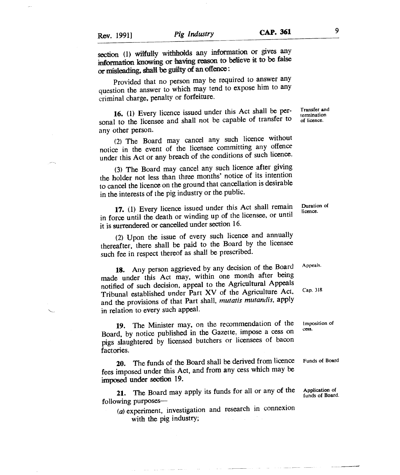**Provided that no** person may be required to answer any question the answer to which may tend to expose him to any criminal charge, penalty or forfeiture.

**16. (1) Every licence issued under this Act shall be personal to the licensee and shall not be capable of transfer to any other person.** 

**(2) The Board may cancel any such licence without notice in the event of the licensee committing any offence under this Act or any breach of the conditions of such licence.** 

**(3) The Board may cancel any such licence after giving the holder not less than three months' notice of its intention to cancel the licence on the ground that cancellation is desirable in the interests of the pig industry or the public.** 

**17.** (1) **Every licence issued under this Act shall remain in force until the death or winding up of the licensee, or until it is surrendered or cancelled under** section 16.

(2) Upon the issue of every such licence and annually thereafter, there shall be paid to the **Board by the licensee such fee in respect thereof as shall be prescribed.** 

**18. Any person aggrieved by any decision of the Board made under this Act may, within one month after being notified of such decision, appeal to the Agricultural Appeals Tribunal established under Part XV of the Agriculture Act. and the provisions of that Part shall,** *mutatis mutandis,* **apply in relation to every such appeal.** 

**19. The Minister may,** on the recommendation of the **Imposition of**  Board, by notice published in the Gazette, impose a cess on **pigs slaughtered by licensed butchers** or licensees of bacon factories.

**20. The funds of the Board shall be derived from licence Funds of Board fees imposed under this Act, and from any cess which may be imposed under section 19.** 

**21. The Board may apply its funds for all or any of the Application of following purposes—** 

(a) experiment, investigation and research in connexion **with the pig industry;** 

**Transfer and termination of licence.** 

**Duration of licence.** 

**A ppea Is.** 

**Cap. 318** 

**funds of Board.**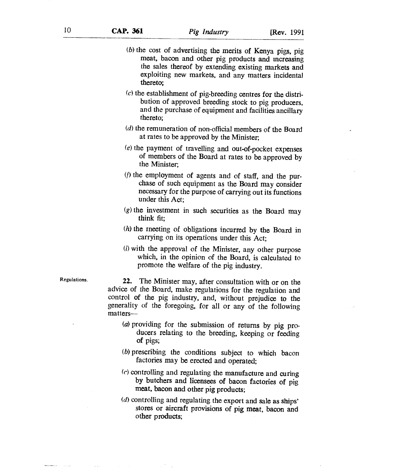- $(b)$  the cost of advertising the merits of Kenya pigs, pig meat, bacon and other pig products and increasing the sales thereof by extending existing markets and exploiting new markets, and any matters incidental **thereto;**
- $(c)$  the establishment of pig-breeding centres for the distribution of approved breeding stock to pig producers, and the purchase of equipment and facilities ancillary thereto;
- $(d)$  the remuneration of non-official members of the Board at rates to be approved by the Minister;
- (e) the payment of travelling and out-of-pocket expenses of members of the Board at rates to be approved by the Minister;
- ( $f$ ) the employment of agents and of staff, and the purchase of such equipment as the Board may consider necessary for the purpose of carrying out its functions under this Act;
- $(g)$  the investment in such securities as the Board may think fit;
- $(h)$  the meeting of obligations incurred by the Board in carrying on its operations under this Act;
- (i) with the approval of the Minister, any other purpose which, in the opinion of the Board, is calculated to promote the welfare of the pig industry.

Regulations. **22.** The Minister may, after consultation with or on the advice of the Board, make regulations for the regulation and control of the pig industry, and, without prejudice **to** the generality of the foregoing, for all or any of the following matters—

- (a) providing for the submission of returns by pig producers relating to the breeding, keeping or feeding of pigs;
- (b) prescribing the conditions subject to which bacon factories may be erected and operated;
- (e) controlling and regulating the manufacture and curing **by butchers and licensees of bacon factories of pig meat, bacon and other pig products;**
- *(d)* controlling and regulating the export and sale as ships' stores or aircraft provisions **of pig meat, bacon and other products;**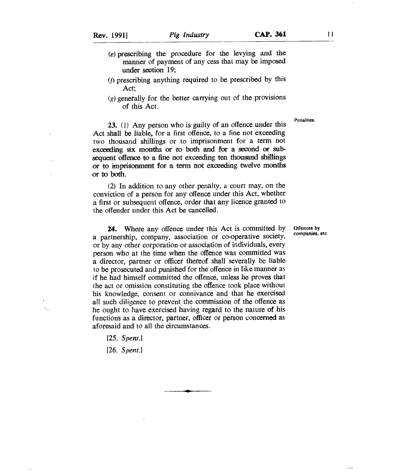- 
- (e) prescribing the procedure for the levying and the manner of payment of any cess that may be imposed under section 19;
- (f) prescribing anything required to be prescribed by this Act;
- $(g)$  generally for the better carrying out of the provisions of this Act.

**I'cnalties.** 

23. (1) Any person who is guilty of an offence under this Act shall be liable, for a first offence, to a fine not exceeding two thousand shillings or to imprisonment for a term not exceeding six months or to both and for a second or subsequent offence to a fine not exceeding ten thousand shillings or to imprisonment for a term not exceeding twelve months or to both.

(2) In addition to any other penalty, a court may, on the conviction of a person for any offence under this Act, whether a first or subsequent offence, order that any licence granted to the offender under this Act be cancelled.

24. Where any offence under this Act is committed by a partnership, company, association or co-operative society, or by any other corporation or association of individuals, every person who at the time when the offence was committed was a director, partner or officer thereof shall severally be liable to be prosecuted and punished for the offence in like manner as if he had himself committed the offence, unless he proves that the act or omission constituting the offence took place without his knowledge, consent or connivance and that he exercised all such diligence to prevent the commission of the offence as he ought to have exercised having regard to the nature of his functions as a director, partner, officer or person concerned as aforesaid and to all the circumstances.

*[25. Spent.]* 

*[26. Spent.]* 

**Offences by companies, etc**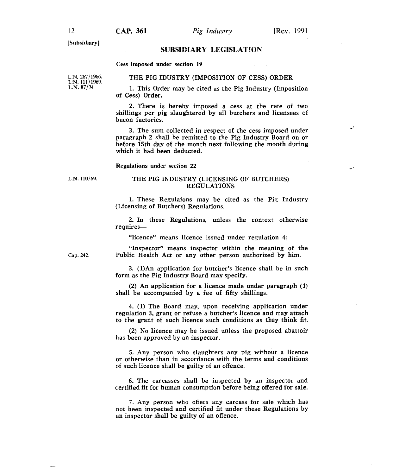ا ...

'Subsidiary]

## **SUBSIDIARY LEGISLATION**

#### Cess imposed under section 19

THE PIG IDUSTRY (IMPOSITION OF CESS) ORDER

L.N. 267/1966, L.N. 111/1969, L.N. 87/74.

1. This Order may be cited as the Pig Industry (Imposition of Cess) Order.

2. There is hereby imposed a cess at the rate of two shillings per pig slaughtered by all butchers and licensees of bacon factories.

3. The sum collected in respect of the cess imposed under paragraph 2 shall be remitted to the Pig Industry Board on or before 15th day of the month next following the month during which it had been deducted.

Regulations under section 22

#### L.N. 110/69. THE PIG INDUSTRY (LICENSING OF BUTCHERS) REGULATIONS

1. These Regulaions may be cited as the Pig Industry (Licensing of Butchers) Regulations.

2. In these Regulations, unless the context otherwise requires—

"licence" means licence issued under regulation 4;

Cap. 242.

"Inspector" means inspector within the meaning of the Public Health Act or any other person authorized by him.

3. (1)An application for butcher's licence shall be in such form as the Pig Industry Board may specify.

(2) An application for a licence made under paragraph (1) shall be accompanied by a fee of fifty shillings.

4. (1) The Board may, upon receiving application under regulation 3, grant or refuse a butcher's licence and may attach to the grant of such licence such conditions as they think fit.

(2) No licence may be issued unless the proposed abattoir has been approved by an inspector.

5. Any person who slaughters any pig without a licence or otherwise than in accordance with the terms and conditions of such licence shall be guilty of an offence.

6. The carcasses shall be inspected by an inspector and certified fit for human consumption before being offered for sale.

7. Any person who offers any carcass for sale which has not been inspected and certified fit under these Regulations by an inspector shall be guilty of an offence.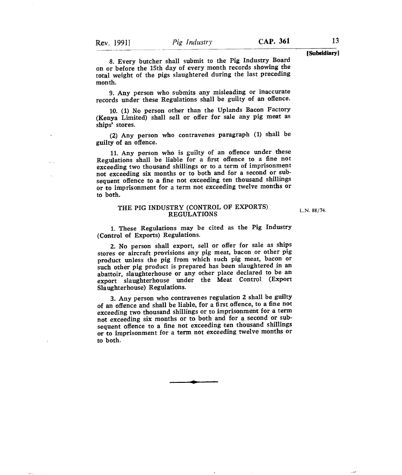**[Subsidiary]** 

8. Every butcher shall submit to the Pig Industry Board on or before the 15th day of every month records showing the total weight of the pigs slaughtered during the last preceding month.

9. Any person who submits any misleading or inaccurate records under these Regulations shall be guilty of an offence.

10. (1) No person other than the Uplands Bacon Factory (Kenya Limited) shall *sell* or offer for sale any pig meat as ships' stores.

(2) Any person who contravenes paragraph (1) shall be guilty of an offence.

11.Any person who is guilty of an offence under these Regulations shall be liable for a first offence to a fine not exceeding two thousand shillings or to a term of imprisonment not exceeding six months or to both and for a second or subsequent offence to a fine not exceeding ten thousand shillings or to imprisonment for a term not exceeding twelve months or to both.

### THE PIG INDUSTRY (CONTROL OF EXPORTS) REGULATIONS

L.N. 88/74.

1. These Regulations may be cited as the Pig Industry (Control of Exports) Regulations.

2. No person shall export, sell or offer for sale as ships stores or aircraft provisions any pig meat, bacon or other pig product unless the pig from which such pig meat, bacon or such other pig product is prepared has been slaughtered in an abattoir, slaughterhouse or any other place declared to be an export slaughterhouse under the Meat Control (Export Slaughterhouse) Regulations.

3. Any person who contravenes regulation 2 shall be guilty of an offence and shall be liable, for a first offence, to a fine not exceeding two thousand shillings or to imprisonment for a term not exceeding six months or to both and for a second or subsequent offence to a fine not exceeding ten thousand shillings or to imprisonment for a term not exceeding twelve months or to both.